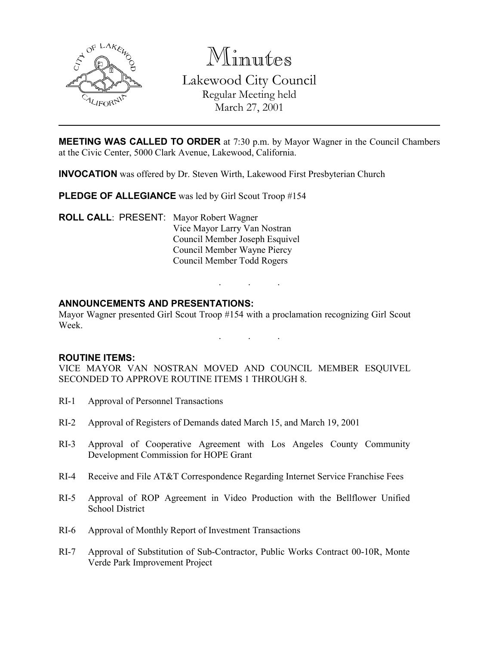

Minutes

Lakewood City Council Regular Meeting held March 27, 2001

**MEETING WAS CALLED TO ORDER** at 7:30 p.m. by Mayor Wagner in the Council Chambers at the Civic Center, 5000 Clark Avenue, Lakewood, California.

INVOCATION was offered by Dr. Steven Wirth, Lakewood First Presbyterian Church

PLEDGE OF ALLEGIANCE was led by Girl Scout Troop #154

ROLL CALL: PRESENT: Mayor Robert Wagner Vice Mayor Larry Van Nostran Council Member Joseph Esquivel Council Member Wayne Piercy Council Member Todd Rogers

## ANNOUNCEMENTS AND PRESENTATIONS:

Mayor Wagner presented Girl Scout Troop #154 with a proclamation recognizing Girl Scout Week.

. . .

. . .

#### ROUTINE ITEMS:

VICE MAYOR VAN NOSTRAN MOVED AND COUNCIL MEMBER ESQUIVEL SECONDED TO APPROVE ROUTINE ITEMS 1 THROUGH 8.

- RI-1 Approval of Personnel Transactions
- RI-2 Approval of Registers of Demands dated March 15, and March 19, 2001
- RI-3 Approval of Cooperative Agreement with Los Angeles County Community Development Commission for HOPE Grant
- RI-4 Receive and File AT&T Correspondence Regarding Internet Service Franchise Fees
- RI-5 Approval of ROP Agreement in Video Production with the Bellflower Unified School District
- RI-6 Approval of Monthly Report of Investment Transactions
- RI-7 Approval of Substitution of Sub-Contractor, Public Works Contract 00-10R, Monte Verde Park Improvement Project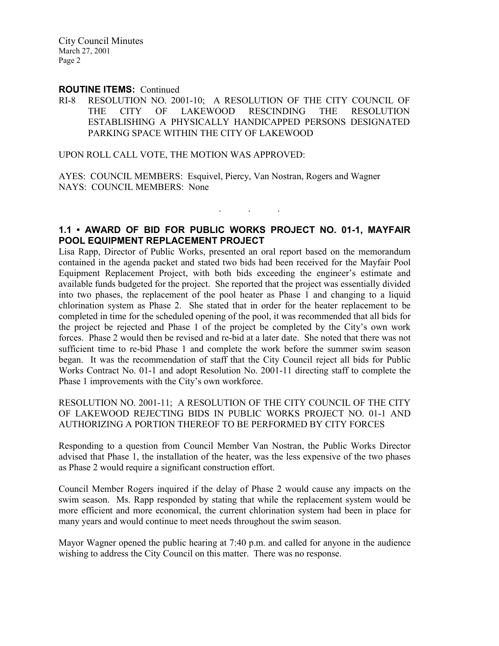#### ROUTINE ITEMS: Continued

RI-8 RESOLUTION NO. 2001-10; A RESOLUTION OF THE CITY COUNCIL OF THE CITY OF LAKEWOOD RESCINDING THE RESOLUTION ESTABLISHING A PHYSICALLY HANDICAPPED PERSONS DESIGNATED PARKING SPACE WITHIN THE CITY OF LAKEWOOD

UPON ROLL CALL VOTE, THE MOTION WAS APPROVED:

AYES: COUNCIL MEMBERS: Esquivel, Piercy, Van Nostran, Rogers and Wagner NAYS: COUNCIL MEMBERS: None

# 1.1 • AWARD OF BID FOR PUBLIC WORKS PROJECT NO. 01-1, MAYFAIR POOL EQUIPMENT REPLACEMENT PROJECT

 $\mathbf{r}$  .  $\mathbf{r}$  ,  $\mathbf{r}$  ,  $\mathbf{r}$  ,  $\mathbf{r}$  ,  $\mathbf{r}$  ,  $\mathbf{r}$ 

Lisa Rapp, Director of Public Works, presented an oral report based on the memorandum contained in the agenda packet and stated two bids had been received for the Mayfair Pool Equipment Replacement Project, with both bids exceeding the engineer's estimate and available funds budgeted for the project. She reported that the project was essentially divided into two phases, the replacement of the pool heater as Phase 1 and changing to a liquid chlorination system as Phase 2. She stated that in order for the heater replacement to be completed in time for the scheduled opening of the pool, it was recommended that all bids for the project be rejected and Phase 1 of the project be completed by the City's own work forces. Phase 2 would then be revised and re-bid at a later date. She noted that there was not sufficient time to re-bid Phase 1 and complete the work before the summer swim season began. It was the recommendation of staff that the City Council reject all bids for Public Works Contract No. 01-1 and adopt Resolution No. 2001-11 directing staff to complete the Phase 1 improvements with the City's own workforce.

RESOLUTION NO. 2001-11; A RESOLUTION OF THE CITY COUNCIL OF THE CITY OF LAKEWOOD REJECTING BIDS IN PUBLIC WORKS PROJECT NO. 01-1 AND AUTHORIZING A PORTION THEREOF TO BE PERFORMED BY CITY FORCES

Responding to a question from Council Member Van Nostran, the Public Works Director advised that Phase 1, the installation of the heater, was the less expensive of the two phases as Phase 2 would require a significant construction effort.

Council Member Rogers inquired if the delay of Phase 2 would cause any impacts on the swim season. Ms. Rapp responded by stating that while the replacement system would be more efficient and more economical, the current chlorination system had been in place for many years and would continue to meet needs throughout the swim season.

Mayor Wagner opened the public hearing at 7:40 p.m. and called for anyone in the audience wishing to address the City Council on this matter. There was no response.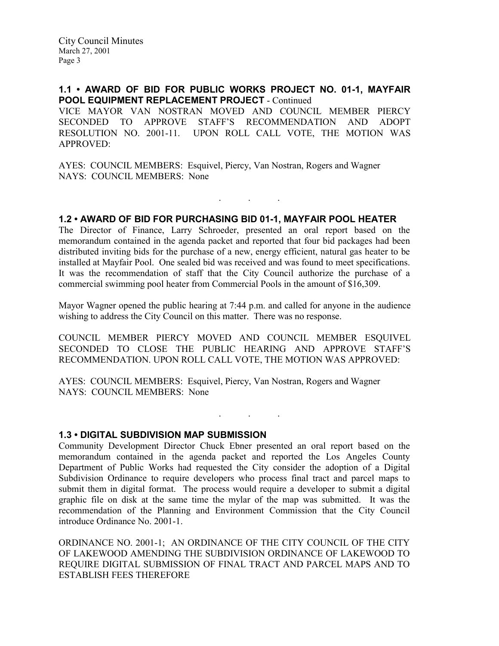# 1.1 • AWARD OF BID FOR PUBLIC WORKS PROJECT NO. 01-1, MAYFAIR POOL EQUIPMENT REPLACEMENT PROJECT - Continued

VICE MAYOR VAN NOSTRAN MOVED AND COUNCIL MEMBER PIERCY SECONDED TO APPROVE STAFF'S RECOMMENDATION AND ADOPT RESOLUTION NO. 2001-11. UPON ROLL CALL VOTE, THE MOTION WAS APPROVED:

AYES: COUNCIL MEMBERS: Esquivel, Piercy, Van Nostran, Rogers and Wagner NAYS: COUNCIL MEMBERS: None

## 1.2 • AWARD OF BID FOR PURCHASING BID 01-1, MAYFAIR POOL HEATER

. . .

The Director of Finance, Larry Schroeder, presented an oral report based on the memorandum contained in the agenda packet and reported that four bid packages had been distributed inviting bids for the purchase of a new, energy efficient, natural gas heater to be installed at Mayfair Pool. One sealed bid was received and was found to meet specifications. It was the recommendation of staff that the City Council authorize the purchase of a commercial swimming pool heater from Commercial Pools in the amount of \$16,309.

Mayor Wagner opened the public hearing at 7:44 p.m. and called for anyone in the audience wishing to address the City Council on this matter. There was no response.

COUNCIL MEMBER PIERCY MOVED AND COUNCIL MEMBER ESQUIVEL SECONDED TO CLOSE THE PUBLIC HEARING AND APPROVE STAFF'S RECOMMENDATION. UPON ROLL CALL VOTE, THE MOTION WAS APPROVED:

. . .

AYES: COUNCIL MEMBERS: Esquivel, Piercy, Van Nostran, Rogers and Wagner NAYS: COUNCIL MEMBERS: None

1.3 • DIGITAL SUBDIVISION MAP SUBMISSION

Community Development Director Chuck Ebner presented an oral report based on the memorandum contained in the agenda packet and reported the Los Angeles County Department of Public Works had requested the City consider the adoption of a Digital Subdivision Ordinance to require developers who process final tract and parcel maps to submit them in digital format. The process would require a developer to submit a digital graphic file on disk at the same time the mylar of the map was submitted. It was the recommendation of the Planning and Environment Commission that the City Council introduce Ordinance No. 2001-1.

ORDINANCE NO. 2001-1; AN ORDINANCE OF THE CITY COUNCIL OF THE CITY OF LAKEWOOD AMENDING THE SUBDIVISION ORDINANCE OF LAKEWOOD TO REQUIRE DIGITAL SUBMISSION OF FINAL TRACT AND PARCEL MAPS AND TO ESTABLISH FEES THEREFORE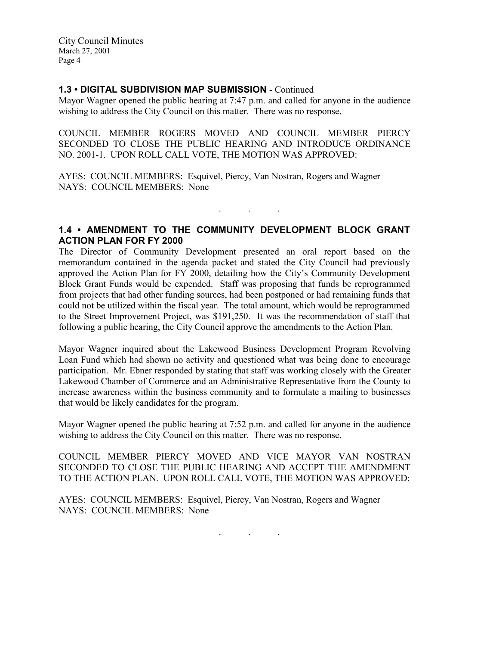# 1.3 • DIGITAL SUBDIVISION MAP SUBMISSION - Continued

Mayor Wagner opened the public hearing at 7:47 p.m. and called for anyone in the audience wishing to address the City Council on this matter. There was no response.

COUNCIL MEMBER ROGERS MOVED AND COUNCIL MEMBER PIERCY SECONDED TO CLOSE THE PUBLIC HEARING AND INTRODUCE ORDINANCE NO. 2001-1. UPON ROLL CALL VOTE, THE MOTION WAS APPROVED:

AYES: COUNCIL MEMBERS: Esquivel, Piercy, Van Nostran, Rogers and Wagner NAYS: COUNCIL MEMBERS: None

## 1.4 • AMENDMENT TO THE COMMUNITY DEVELOPMENT BLOCK GRANT ACTION PLAN FOR FY 2000

. The set of the set of the  $\mathcal{O}_\mathcal{A}$ 

The Director of Community Development presented an oral report based on the memorandum contained in the agenda packet and stated the City Council had previously approved the Action Plan for FY 2000, detailing how the City's Community Development Block Grant Funds would be expended. Staff was proposing that funds be reprogrammed from projects that had other funding sources, had been postponed or had remaining funds that could not be utilized within the fiscal year. The total amount, which would be reprogrammed to the Street Improvement Project, was \$191,250. It was the recommendation of staff that following a public hearing, the City Council approve the amendments to the Action Plan.

Mayor Wagner inquired about the Lakewood Business Development Program Revolving Loan Fund which had shown no activity and questioned what was being done to encourage participation. Mr. Ebner responded by stating that staff was working closely with the Greater Lakewood Chamber of Commerce and an Administrative Representative from the County to increase awareness within the business community and to formulate a mailing to businesses that would be likely candidates for the program.

Mayor Wagner opened the public hearing at 7:52 p.m. and called for anyone in the audience wishing to address the City Council on this matter. There was no response.

COUNCIL MEMBER PIERCY MOVED AND VICE MAYOR VAN NOSTRAN SECONDED TO CLOSE THE PUBLIC HEARING AND ACCEPT THE AMENDMENT TO THE ACTION PLAN. UPON ROLL CALL VOTE, THE MOTION WAS APPROVED:

AYES: COUNCIL MEMBERS: Esquivel, Piercy, Van Nostran, Rogers and Wagner NAYS: COUNCIL MEMBERS: None

. . .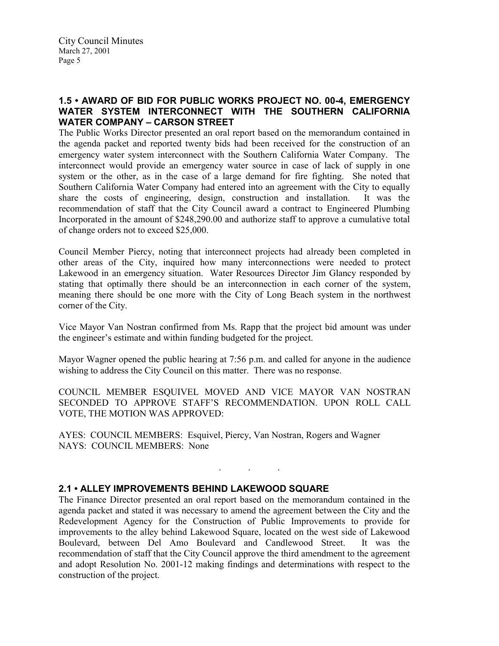# 1.5 • AWARD OF BID FOR PUBLIC WORKS PROJECT NO. 00-4, EMERGENCY WATER SYSTEM INTERCONNECT WITH THE SOUTHERN CALIFORNIA WATER COMPANY – CARSON STREET

The Public Works Director presented an oral report based on the memorandum contained in the agenda packet and reported twenty bids had been received for the construction of an emergency water system interconnect with the Southern California Water Company. The interconnect would provide an emergency water source in case of lack of supply in one system or the other, as in the case of a large demand for fire fighting. She noted that Southern California Water Company had entered into an agreement with the City to equally share the costs of engineering, design, construction and installation. It was the recommendation of staff that the City Council award a contract to Engineered Plumbing Incorporated in the amount of \$248,290.00 and authorize staff to approve a cumulative total of change orders not to exceed \$25,000.

Council Member Piercy, noting that interconnect projects had already been completed in other areas of the City, inquired how many interconnections were needed to protect Lakewood in an emergency situation. Water Resources Director Jim Glancy responded by stating that optimally there should be an interconnection in each corner of the system, meaning there should be one more with the City of Long Beach system in the northwest corner of the City.

Vice Mayor Van Nostran confirmed from Ms. Rapp that the project bid amount was under the engineer's estimate and within funding budgeted for the project.

Mayor Wagner opened the public hearing at 7:56 p.m. and called for anyone in the audience wishing to address the City Council on this matter. There was no response.

COUNCIL MEMBER ESQUIVEL MOVED AND VICE MAYOR VAN NOSTRAN SECONDED TO APPROVE STAFF'S RECOMMENDATION. UPON ROLL CALL VOTE, THE MOTION WAS APPROVED:

. . .

AYES: COUNCIL MEMBERS: Esquivel, Piercy, Van Nostran, Rogers and Wagner NAYS: COUNCIL MEMBERS: None

# 2.1 • ALLEY IMPROVEMENTS BEHIND LAKEWOOD SQUARE

The Finance Director presented an oral report based on the memorandum contained in the agenda packet and stated it was necessary to amend the agreement between the City and the Redevelopment Agency for the Construction of Public Improvements to provide for improvements to the alley behind Lakewood Square, located on the west side of Lakewood Boulevard, between Del Amo Boulevard and Candlewood Street. It was the recommendation of staff that the City Council approve the third amendment to the agreement and adopt Resolution No. 2001-12 making findings and determinations with respect to the construction of the project.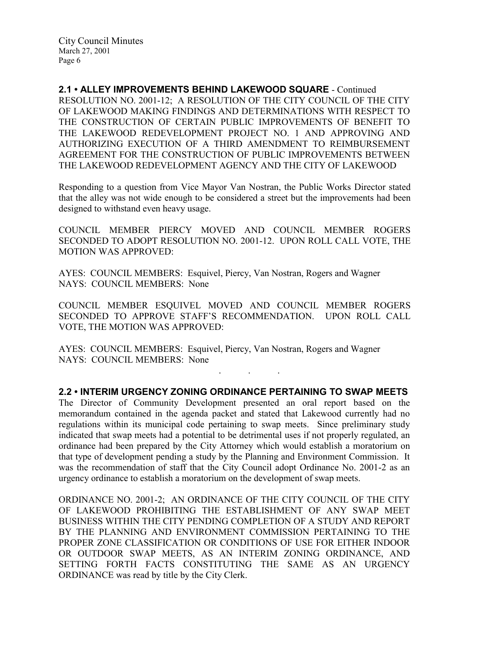2.1 • ALLEY IMPROVEMENTS BEHIND LAKEWOOD SQUARE - Continued RESOLUTION NO. 2001-12; A RESOLUTION OF THE CITY COUNCIL OF THE CITY OF LAKEWOOD MAKING FINDINGS AND DETERMINATIONS WITH RESPECT TO THE CONSTRUCTION OF CERTAIN PUBLIC IMPROVEMENTS OF BENEFIT TO THE LAKEWOOD REDEVELOPMENT PROJECT NO. 1 AND APPROVING AND AUTHORIZING EXECUTION OF A THIRD AMENDMENT TO REIMBURSEMENT AGREEMENT FOR THE CONSTRUCTION OF PUBLIC IMPROVEMENTS BETWEEN THE LAKEWOOD REDEVELOPMENT AGENCY AND THE CITY OF LAKEWOOD

Responding to a question from Vice Mayor Van Nostran, the Public Works Director stated that the alley was not wide enough to be considered a street but the improvements had been designed to withstand even heavy usage.

COUNCIL MEMBER PIERCY MOVED AND COUNCIL MEMBER ROGERS SECONDED TO ADOPT RESOLUTION NO. 2001-12. UPON ROLL CALL VOTE, THE MOTION WAS APPROVED:

AYES: COUNCIL MEMBERS: Esquivel, Piercy, Van Nostran, Rogers and Wagner NAYS: COUNCIL MEMBERS: None

COUNCIL MEMBER ESQUIVEL MOVED AND COUNCIL MEMBER ROGERS SECONDED TO APPROVE STAFF'S RECOMMENDATION. UPON ROLL CALL VOTE, THE MOTION WAS APPROVED:

AYES: COUNCIL MEMBERS: Esquivel, Piercy, Van Nostran, Rogers and Wagner NAYS: COUNCIL MEMBERS: None

2.2 • INTERIM URGENCY ZONING ORDINANCE PERTAINING TO SWAP MEETS

. . .

The Director of Community Development presented an oral report based on the memorandum contained in the agenda packet and stated that Lakewood currently had no regulations within its municipal code pertaining to swap meets. Since preliminary study indicated that swap meets had a potential to be detrimental uses if not properly regulated, an ordinance had been prepared by the City Attorney which would establish a moratorium on that type of development pending a study by the Planning and Environment Commission. It was the recommendation of staff that the City Council adopt Ordinance No. 2001-2 as an urgency ordinance to establish a moratorium on the development of swap meets.

ORDINANCE NO. 2001-2; AN ORDINANCE OF THE CITY COUNCIL OF THE CITY OF LAKEWOOD PROHIBITING THE ESTABLISHMENT OF ANY SWAP MEET BUSINESS WITHIN THE CITY PENDING COMPLETION OF A STUDY AND REPORT BY THE PLANNING AND ENVIRONMENT COMMISSION PERTAINING TO THE PROPER ZONE CLASSIFICATION OR CONDITIONS OF USE FOR EITHER INDOOR OR OUTDOOR SWAP MEETS, AS AN INTERIM ZONING ORDINANCE, AND SETTING FORTH FACTS CONSTITUTING THE SAME AS AN URGENCY ORDINANCE was read by title by the City Clerk.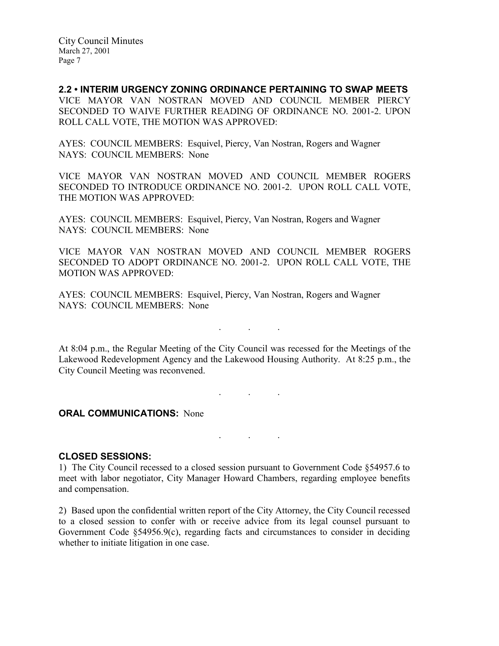2.2 • INTERIM URGENCY ZONING ORDINANCE PERTAINING TO SWAP MEETS VICE MAYOR VAN NOSTRAN MOVED AND COUNCIL MEMBER PIERCY SECONDED TO WAIVE FURTHER READING OF ORDINANCE NO. 2001-2. UPON ROLL CALL VOTE, THE MOTION WAS APPROVED:

AYES: COUNCIL MEMBERS: Esquivel, Piercy, Van Nostran, Rogers and Wagner NAYS: COUNCIL MEMBERS: None

VICE MAYOR VAN NOSTRAN MOVED AND COUNCIL MEMBER ROGERS SECONDED TO INTRODUCE ORDINANCE NO. 2001-2. UPON ROLL CALL VOTE, THE MOTION WAS APPROVED:

AYES: COUNCIL MEMBERS: Esquivel, Piercy, Van Nostran, Rogers and Wagner NAYS: COUNCIL MEMBERS: None

VICE MAYOR VAN NOSTRAN MOVED AND COUNCIL MEMBER ROGERS SECONDED TO ADOPT ORDINANCE NO. 2001-2. UPON ROLL CALL VOTE, THE MOTION WAS APPROVED:

AYES: COUNCIL MEMBERS: Esquivel, Piercy, Van Nostran, Rogers and Wagner NAYS: COUNCIL MEMBERS: None

At 8:04 p.m., the Regular Meeting of the City Council was recessed for the Meetings of the Lakewood Redevelopment Agency and the Lakewood Housing Authority. At 8:25 p.m., the City Council Meeting was reconvened.

 $\mathbf{r}$  .  $\mathbf{r}$  ,  $\mathbf{r}$  ,  $\mathbf{r}$  ,  $\mathbf{r}$  ,  $\mathbf{r}$  ,  $\mathbf{r}$  ,  $\mathbf{r}$ 

. . .

. . .

**ORAL COMMUNICATIONS: None** 

CLOSED SESSIONS:

1) The City Council recessed to a closed session pursuant to Government Code §54957.6 to meet with labor negotiator, City Manager Howard Chambers, regarding employee benefits and compensation.

2) Based upon the confidential written report of the City Attorney, the City Council recessed to a closed session to confer with or receive advice from its legal counsel pursuant to Government Code  $\S 54956.9(c)$ , regarding facts and circumstances to consider in deciding whether to initiate litigation in one case.